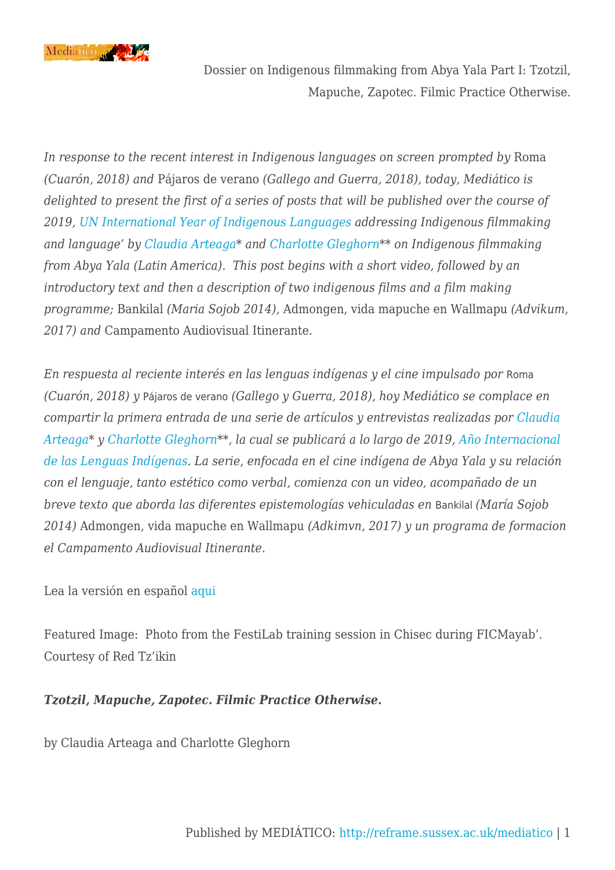

*In response to the recent interest in Indigenous languages on screen prompted by* Roma *(Cuarón, 2018) and* Pájaros de verano *(Gallego and Guerra, 2018), today, Mediático is delighted to present the first of a series of posts that will be published over the course of 2019, [UN International Year of Indigenous Languages a](https://en.iyil2019.org/)ddressing Indigenous filmmaking and language' by [Claudia Arteaga\\*](http://www.scrippscollege.edu/academics/faculty/profile/Claudia-Arteaga) and [Charlotte Gleghorn\\*](https://www.ed.ac.uk/profile/charlotte-gleghorn)\* on Indigenous filmmaking from Abya Yala (Latin America). This post begins with a short video, followed by an introductory text and then a description of two indigenous films and a film making programme;* Bankilal *(Maria Sojob 2014),* Admongen, vida mapuche en Wallmapu *(Advikum, 2017) and* Campamento Audiovisual Itinerante.

*En respuesta al reciente interés en las lenguas indígenas y el cine impulsado por* Roma *(Cuarón, 2018) y* Pájaros de verano *(Gallego y Guerra, 2018), hoy Mediático se complace en compartir la primera entrada de una serie de artículos y entrevistas realizadas por [Claudia](http://www.scrippscollege.edu/academics/faculty/profile/Claudia-Arteaga) [Arteaga\\*](http://www.scrippscollege.edu/academics/faculty/profile/Claudia-Arteaga) y [Charlotte Gleghorn\\*](https://www.ed.ac.uk/profile/charlotte-gleghorn)\*, la cual se publicará a lo largo de 2019, [Año Internacional](https://es.iyil2019.org/) [de las Lenguas Indígenas.](https://es.iyil2019.org/) La serie, enfocada en el cine indígena de Abya Yala y su relación con el lenguaje, tanto estético como verbal, comienza con un video, acompañado de un breve texto que aborda las diferentes epistemologías vehiculadas en* Bankilal *(María Sojob 2014)* Admongen, vida mapuche en Wallmapu *(Adkimvn, 2017) y un programa de formacion el Campamento Audiovisual Itinerante*.

#### Lea la versión en español [aqui](http://reframe.sussex.ac.uk/mediatico/2019/03/25/serie-tematica-cine-indigena-de-abya-yala-primera-parte-tsotsil-mapuche-zapotec-practicas-alternativas-de-hacer-cine/)

Featured Image: Photo from the FestiLab training session in Chisec during FICMayab'. Courtesy of Red Tz'ikin

## *Tzotzil, Mapuche, Zapotec. Filmic Practice Otherwise.*

by Claudia Arteaga and Charlotte Gleghorn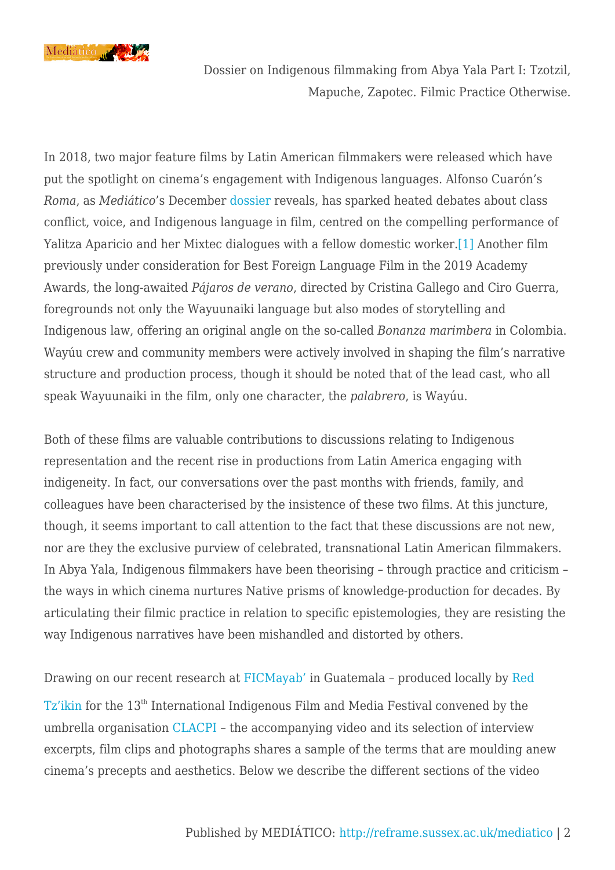

<span id="page-1-0"></span>In 2018, two major feature films by Latin American filmmakers were released which have put the spotlight on cinema's engagement with Indigenous languages. Alfonso Cuarón's *Roma*, as *Mediático*'s December [dossier](http://reframe.sussex.ac.uk/mediatico/2018/12/24/introduction-to-the-special-dossier-on-roma-alfonso-cuaron/) reveals, has sparked heated debates about class conflict, voice, and Indigenous language in film, centred on the compelling performance of Yalitza Aparicio and her Mixtec dialogues with a fellow domestic worker.[\[1\]](#page-6-0) Another film previously under consideration for Best Foreign Language Film in the 2019 Academy Awards, the long-awaited *Pájaros de verano*, directed by Cristina Gallego and Ciro Guerra, foregrounds not only the Wayuunaiki language but also modes of storytelling and Indigenous law, offering an original angle on the so-called *Bonanza marimbera* in Colombia. Wayúu crew and community members were actively involved in shaping the film's narrative structure and production process, though it should be noted that of the lead cast, who all speak Wayuunaiki in the film, only one character, the *palabrero*, is Wayúu.

Both of these films are valuable contributions to discussions relating to Indigenous representation and the recent rise in productions from Latin America engaging with indigeneity. In fact, our conversations over the past months with friends, family, and colleagues have been characterised by the insistence of these two films. At this juncture, though, it seems important to call attention to the fact that these discussions are not new, nor are they the exclusive purview of celebrated, transnational Latin American filmmakers. In Abya Yala, Indigenous filmmakers have been theorising – through practice and criticism – the ways in which cinema nurtures Native prisms of knowledge-production for decades. By articulating their filmic practice in relation to specific epistemologies, they are resisting the way Indigenous narratives have been mishandled and distorted by others.

Drawing on our recent research at [FICMayab'](https://www.ficmayab.org/) in Guatemala – produced locally by [Red](http://realizadorestzikin.org/) [Tz'ikin](http://realizadorestzikin.org/) for the 13th International Indigenous Film and Media Festival convened by the umbrella organisation [CLACPI](http://www.clacpi.org/) – the accompanying video and its selection of interview excerpts, film clips and photographs shares a sample of the terms that are moulding anew cinema's precepts and aesthetics. Below we describe the different sections of the video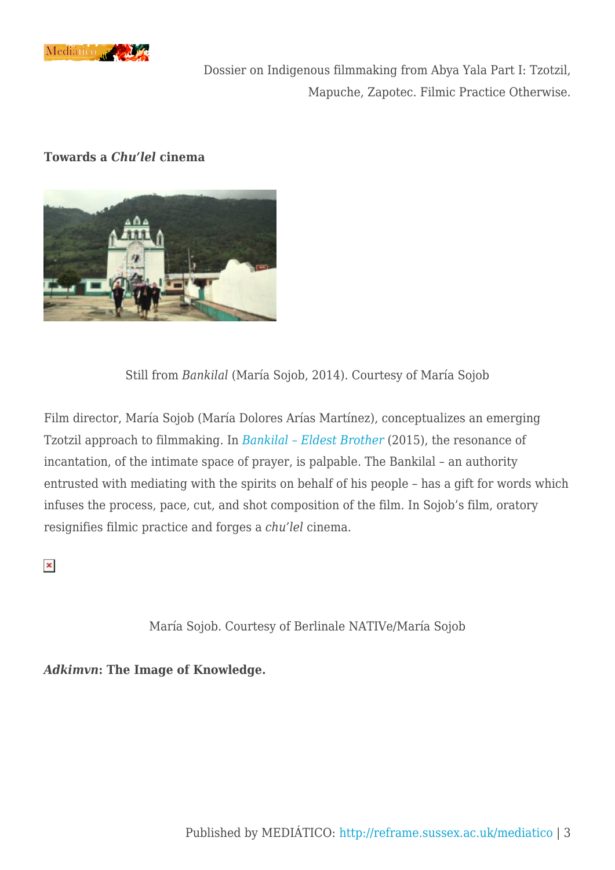

#### **Towards a** *Chu'lel* **cinema**



Still from *Bankilal* (María Sojob, 2014). Courtesy of María Sojob

Film director, María Sojob (María Dolores Arías Martínez), conceptualizes an emerging Tzotzil approach to filmmaking. In *[Bankilal – Eldest Brother](https://vimeo.com/225620681)* (2015), the resonance of incantation, of the intimate space of prayer, is palpable. The Bankilal – an authority entrusted with mediating with the spirits on behalf of his people – has a gift for words which infuses the process, pace, cut, and shot composition of the film. In Sojob's film, oratory resignifies filmic practice and forges a *chu'lel* cinema.

 $\pmb{\times}$ 

María Sojob. Courtesy of Berlinale NATIVe/María Sojob

*Adkimvn***: The Image of Knowledge.**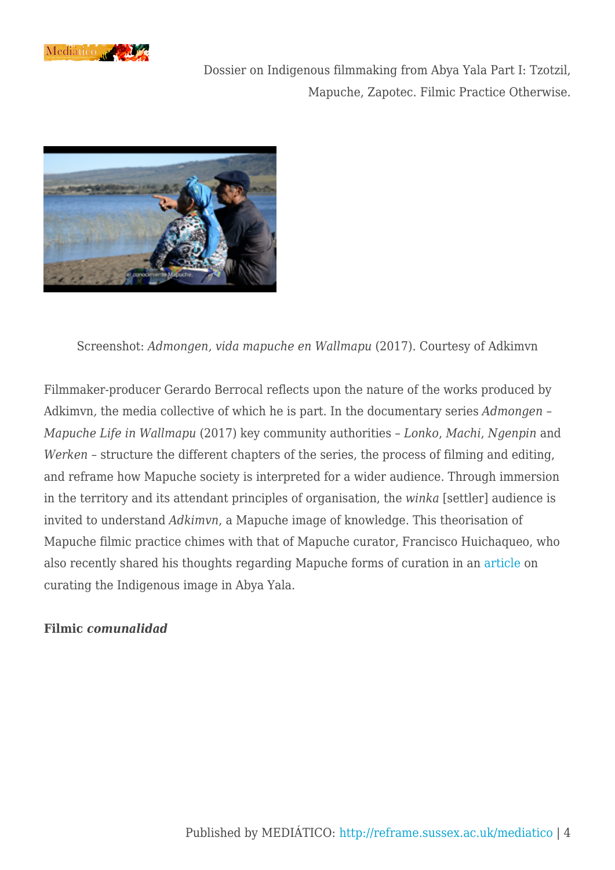



Screenshot: *Admongen, vida mapuche en Wallmapu* (2017). Courtesy of Adkimvn

Filmmaker-producer Gerardo Berrocal reflects upon the nature of the works produced by Adkimvn*,* the media collective of which he is part. In the documentary series *Admongen – Mapuche Life in Wallmapu* (2017) key community authorities – *Lonko*, *Machi*, *Ngenpin* and *Werken* – structure the different chapters of the series, the process of filming and editing, and reframe how Mapuche society is interpreted for a wider audience. Through immersion in the territory and its attendant principles of organisation, the *winka* [settler] audience is invited to understand *Adkimvn*, a Mapuche image of knowledge. This theorisation of Mapuche filmic practice chimes with that of Mapuche curator, Francisco Huichaqueo, who also recently shared his thoughts regarding Mapuche forms of curation in an [article](http://sensesofcinema.com/2018/latin-american-cinema-today/healing-through-curation-a-conversation-between-three-indigenous-image-curators-in-the-abya-yala-movement/) on curating the Indigenous image in Abya Yala.

#### **Filmic** *comunalidad*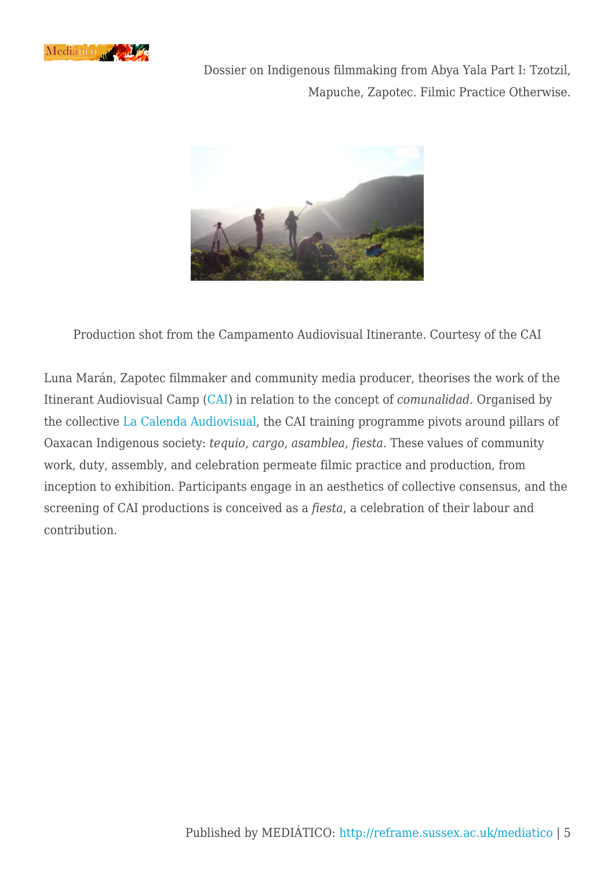



Production shot from the Campamento Audiovisual Itinerante. Courtesy of the CAI

Luna Marán, Zapotec filmmaker and community media producer, theorises the work of the Itinerant Audiovisual Camp ([CAI](http://www.campamentoaudiovisual.org/)) in relation to the concept of *comunalidad*. Organised by the collective [La Calenda Audiovisual](http://www.lacalenda.org/), the CAI training programme pivots around pillars of Oaxacan Indigenous society: *tequio*, *cargo*, *asamblea, fiesta*. These values of community work, duty, assembly, and celebration permeate filmic practice and production, from inception to exhibition. Participants engage in an aesthetics of collective consensus, and the screening of CAI productions is conceived as a *fiesta*, a celebration of their labour and contribution.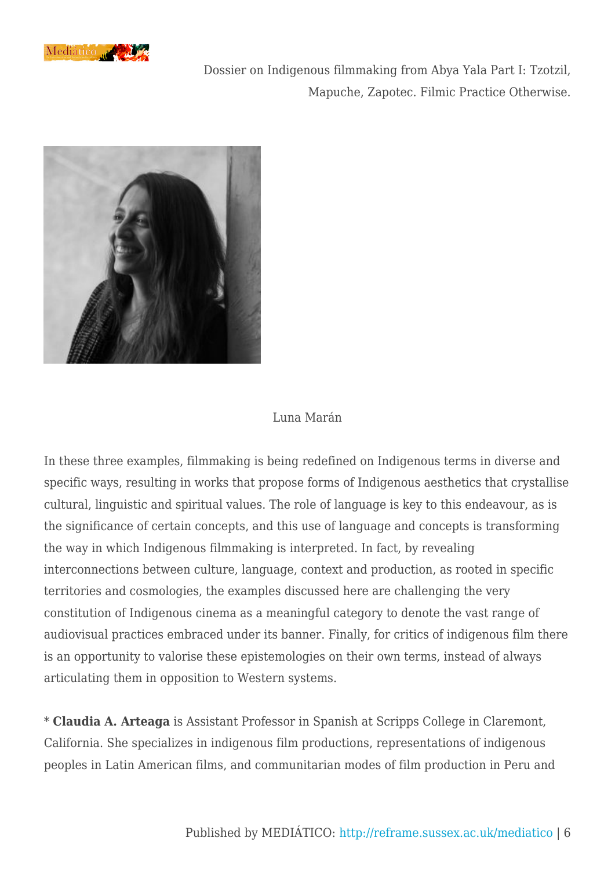



### Luna Marán

In these three examples, filmmaking is being redefined on Indigenous terms in diverse and specific ways, resulting in works that propose forms of Indigenous aesthetics that crystallise cultural, linguistic and spiritual values. The role of language is key to this endeavour, as is the significance of certain concepts, and this use of language and concepts is transforming the way in which Indigenous filmmaking is interpreted. In fact, by revealing interconnections between culture, language, context and production, as rooted in specific territories and cosmologies, the examples discussed here are challenging the very constitution of Indigenous cinema as a meaningful category to denote the vast range of audiovisual practices embraced under its banner. Finally, for critics of indigenous film there is an opportunity to valorise these epistemologies on their own terms, instead of always articulating them in opposition to Western systems.

\* **Claudia A. Arteaga** is Assistant Professor in Spanish at Scripps College in Claremont, California. She specializes in indigenous film productions, representations of indigenous peoples in Latin American films, and communitarian modes of film production in Peru and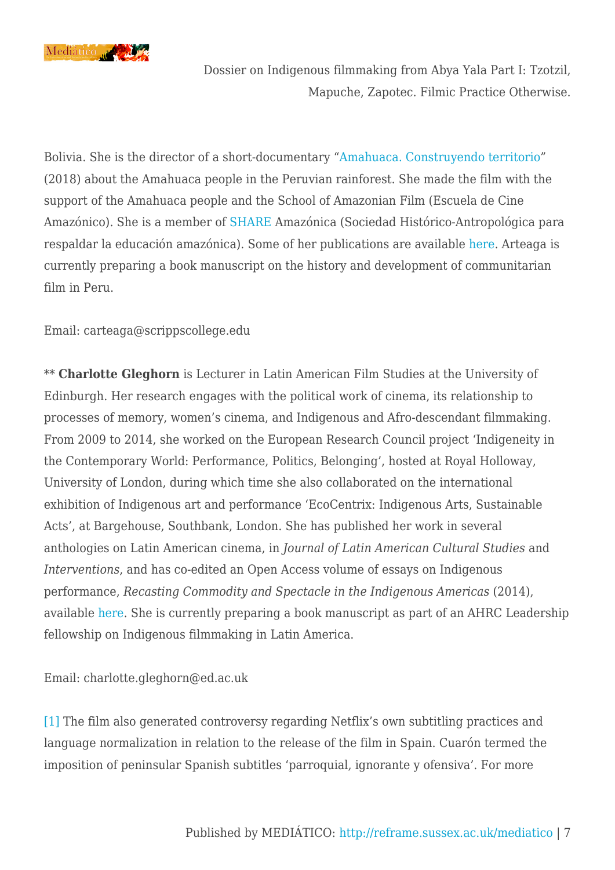

Bolivia. She is the director of a short-documentary "[Amahuaca. Construyendo territorio](https://www.youtube.com/watch?v=dawucdSaSYs&t=2s)" (2018) about the Amahuaca people in the Peruvian rainforest. She made the film with the support of the Amahuaca people and the School of Amazonian Film (Escuela de Cine Amazónico). She is a member of [SHARE](http://share-amazonica.org/) Amazónica (Sociedad Histórico-Antropológica para respaldar la educación amazónica). Some of her publications are available [here](https://scrippscollege.academia.edu/ClaudiaAArteaga). Arteaga is currently preparing a book manuscript on the history and development of communitarian film in Peru.

Email: carteaga@scrippscollege.edu

\*\* **Charlotte Gleghorn** is Lecturer in Latin American Film Studies at the University of Edinburgh. Her research engages with the political work of cinema, its relationship to processes of memory, women's cinema, and Indigenous and Afro-descendant filmmaking. From 2009 to 2014, she worked on the European Research Council project 'Indigeneity in the Contemporary World: Performance, Politics, Belonging', hosted at Royal Holloway, University of London, during which time she also collaborated on the international exhibition of Indigenous art and performance 'EcoCentrix: Indigenous Arts, Sustainable Acts', at Bargehouse, Southbank, London. She has published her work in several anthologies on Latin American cinema, in *Journal of Latin American Cultural Studies* and *Interventions*, and has co-edited an Open Access volume of essays on Indigenous performance, *Recasting Commodity and Spectacle in the Indigenous Americas* (2014), available [here.](https://ilas.sas.ac.uk/publications/open-access-house-publications/recasting-commodity-and-spectacle-indigenous-americas) She is currently preparing a book manuscript as part of an AHRC Leadership fellowship on Indigenous filmmaking in Latin America.

Email: charlotte.gleghorn@ed.ac.uk

<span id="page-6-0"></span>[\[1\]](#page-1-0) The film also generated controversy regarding Netflix's own subtitling practices and language normalization in relation to the release of the film in Spain. Cuarón termed the imposition of peninsular Spanish subtitles 'parroquial, ignorante y ofensiva'. For more